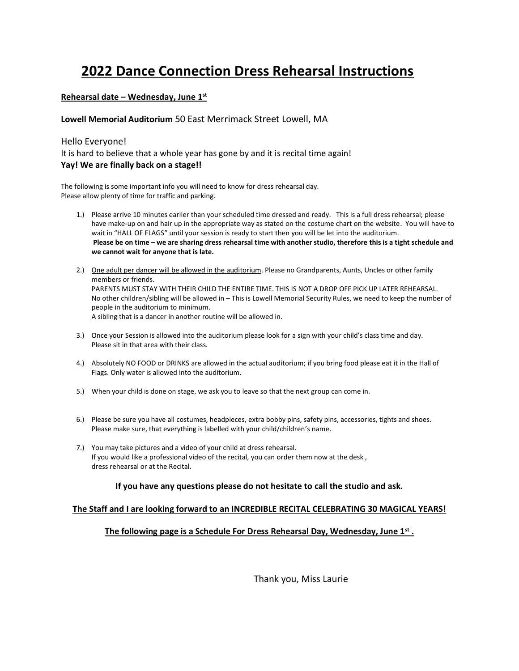# **2022 Dance Connection Dress Rehearsal Instructions**

### **Rehearsal date – Wednesday, June 1st**

### **Lowell Memorial Auditorium** 50 East Merrimack Street Lowell, MA

### Hello Everyone!

It is hard to believe that a whole year has gone by and it is recital time again! **Yay! We are finally back on a stage!!**

The following is some important info you will need to know for dress rehearsal day. Please allow plenty of time for traffic and parking.

- 1.) Please arrive 10 minutes earlier than your scheduled time dressed and ready. This is a full dress rehearsal; please have make-up on and hair up in the appropriate way as stated on the costume chart on the website. You will have to wait in "HALL OF FLAGS" until your session is ready to start then you will be let into the auditorium. **Please be on time – we are sharing dress rehearsal time with another studio, therefore this is a tight schedule and we cannot wait for anyone that is late.**
- 2.) One adult per dancer will be allowed in the auditorium. Please no Grandparents, Aunts, Uncles or other family members or friends. PARENTS MUST STAY WITH THEIR CHILD THE ENTIRE TIME. THIS IS NOT A DROP OFF PICK UP LATER REHEARSAL. No other children/sibling will be allowed in – This is Lowell Memorial Security Rules, we need to keep the number of people in the auditorium to minimum. A sibling that is a dancer in another routine will be allowed in.
- 3.) Once your Session is allowed into the auditorium please look for a sign with your child's class time and day. Please sit in that area with their class.
- 4.) Absolutely NO FOOD or DRINKS are allowed in the actual auditorium; if you bring food please eat it in the Hall of Flags. Only water is allowed into the auditorium.
- 5.) When your child is done on stage, we ask you to leave so that the next group can come in.
- 6.) Please be sure you have all costumes, headpieces, extra bobby pins, safety pins, accessories, tights and shoes. Please make sure, that everything is labelled with your child/children's name.
- 7.) You may take pictures and a video of your child at dress rehearsal. If you would like a professional video of the recital, you can order them now at the desk , dress rehearsal or at the Recital.

### **If you have any questions please do not hesitate to call the studio and ask.**

### **The Staff and I are looking forward to an INCREDIBLE RECITAL CELEBRATING 30 MAGICAL YEARS!**

### **The following page is a Schedule For Dress Rehearsal Day, Wednesday, June 1st .**

Thank you, Miss Laurie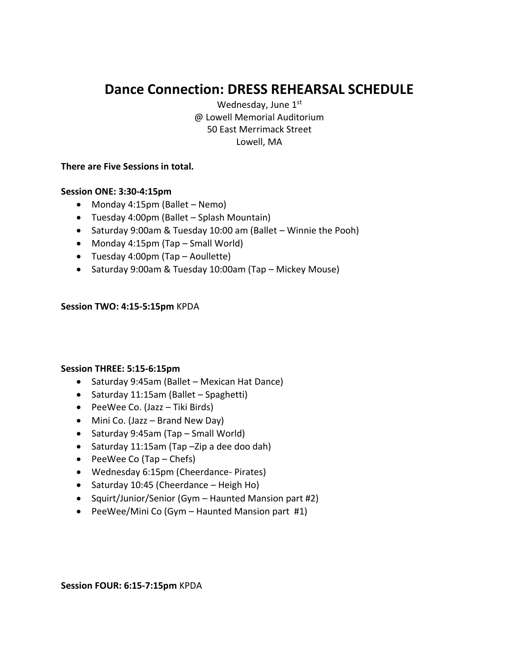# **Dance Connection: DRESS REHEARSAL SCHEDULE**

Wednesday, June 1st @ Lowell Memorial Auditorium 50 East Merrimack Street Lowell, MA

# **There are Five Sessions in total.**

## **Session ONE: 3:30-4:15pm**

- Monday 4:15pm (Ballet Nemo)
- Tuesday 4:00pm (Ballet Splash Mountain)
- Saturday 9:00am & Tuesday 10:00 am (Ballet Winnie the Pooh)
- Monday 4:15pm (Tap Small World)
- Tuesday 4:00pm (Tap Aoullette)
- Saturday 9:00am & Tuesday 10:00am (Tap Mickey Mouse)

## **Session TWO: 4:15-5:15pm** KPDA

## **Session THREE: 5:15-6:15pm**

- Saturday 9:45am (Ballet Mexican Hat Dance)
- Saturday 11:15am (Ballet Spaghetti)
- PeeWee Co. (Jazz Tiki Birds)
- Mini Co. (Jazz Brand New Day)
- Saturday 9:45am (Tap Small World)
- Saturday 11:15am (Tap –Zip a dee doo dah)
- PeeWee Co (Tap Chefs)
- Wednesday 6:15pm (Cheerdance- Pirates)
- Saturday 10:45 (Cheerdance Heigh Ho)
- Squirt/Junior/Senior (Gym Haunted Mansion part #2)
- PeeWee/Mini Co (Gym Haunted Mansion part #1)

### **Session FOUR: 6:15-7:15pm** KPDA